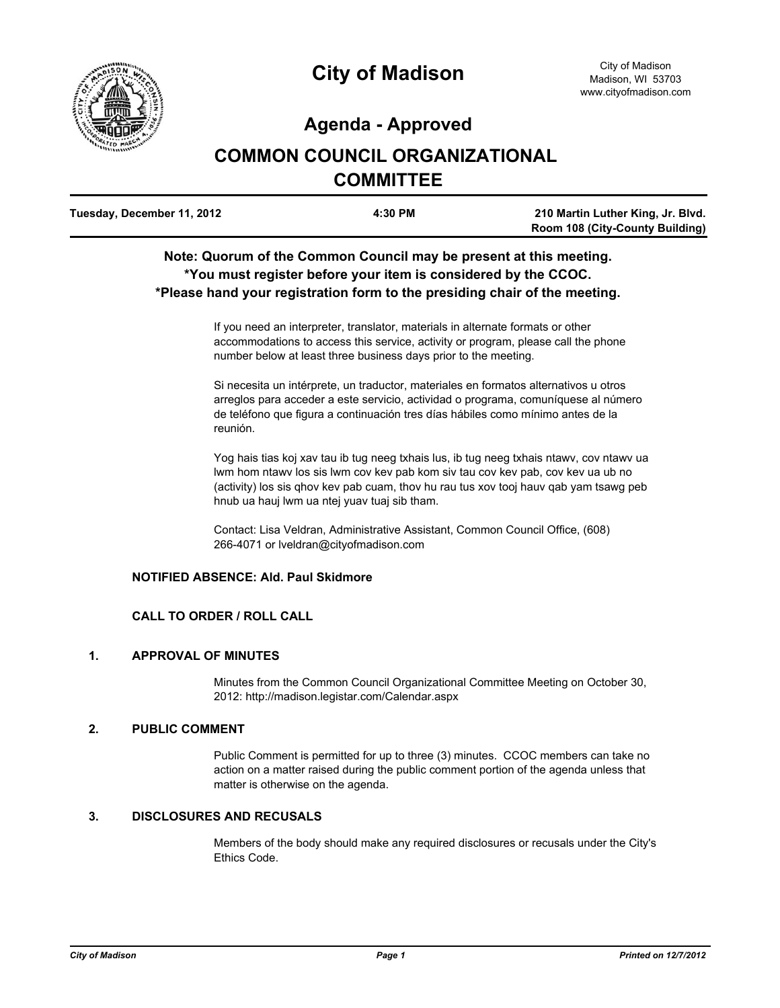

## **Agenda - Approved**

# **COMMON COUNCIL ORGANIZATIONAL COMMITTEE**

| Tuesday, December 11, 2012 | 4:30 PM | 210 Martin Luther King, Jr. Blvd.      |
|----------------------------|---------|----------------------------------------|
|                            |         | <b>Room 108 (City-County Building)</b> |

## **Note: Quorum of the Common Council may be present at this meeting. \*You must register before your item is considered by the CCOC. \*Please hand your registration form to the presiding chair of the meeting.**

If you need an interpreter, translator, materials in alternate formats or other accommodations to access this service, activity or program, please call the phone number below at least three business days prior to the meeting.

Si necesita un intérprete, un traductor, materiales en formatos alternativos u otros arreglos para acceder a este servicio, actividad o programa, comuníquese al número de teléfono que figura a continuación tres días hábiles como mínimo antes de la reunión.

Yog hais tias koj xav tau ib tug neeg txhais lus, ib tug neeg txhais ntawv, cov ntawv ua lwm hom ntawv los sis lwm cov kev pab kom siv tau cov kev pab, cov kev ua ub no (activity) los sis qhov kev pab cuam, thov hu rau tus xov tooj hauv qab yam tsawg peb hnub ua hauj lwm ua ntej yuav tuaj sib tham.

Contact: Lisa Veldran, Administrative Assistant, Common Council Office, (608) 266-4071 or lveldran@cityofmadison.com

## **NOTIFIED ABSENCE: Ald. Paul Skidmore**

## **CALL TO ORDER / ROLL CALL**

## **1. APPROVAL OF MINUTES**

Minutes from the Common Council Organizational Committee Meeting on October 30, 2012: http://madison.legistar.com/Calendar.aspx

## **2. PUBLIC COMMENT**

Public Comment is permitted for up to three (3) minutes. CCOC members can take no action on a matter raised during the public comment portion of the agenda unless that matter is otherwise on the agenda.

## **3. DISCLOSURES AND RECUSALS**

Members of the body should make any required disclosures or recusals under the City's Ethics Code.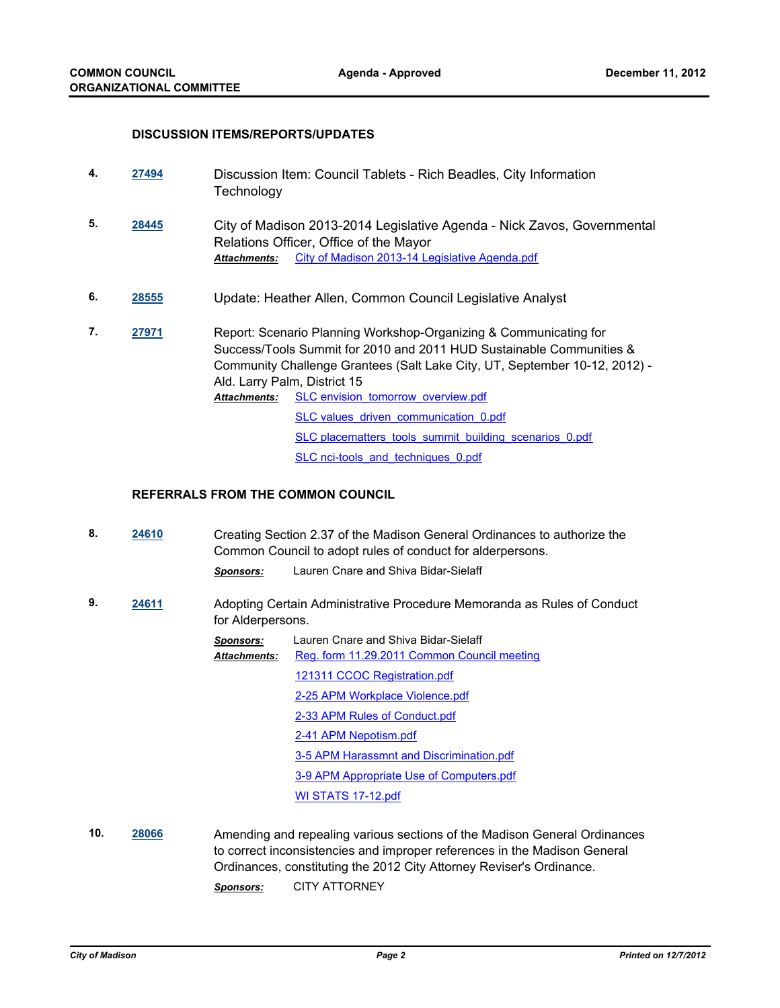#### **DISCUSSION ITEMS/REPORTS/UPDATES**

| 4. | 27494 | Discussion Item: Council Tablets - Rich Beadles, City Information<br>Technology                                                                                                                                                                                                                                      |                                                                                                                                                                     |  |
|----|-------|----------------------------------------------------------------------------------------------------------------------------------------------------------------------------------------------------------------------------------------------------------------------------------------------------------------------|---------------------------------------------------------------------------------------------------------------------------------------------------------------------|--|
| 5. | 28445 | Attachments:                                                                                                                                                                                                                                                                                                         | City of Madison 2013-2014 Legislative Agenda - Nick Zavos, Governmental<br>Relations Officer, Office of the Mayor<br>City of Madison 2013-14 Legislative Agenda.pdf |  |
| 6. | 28555 | Update: Heather Allen, Common Council Legislative Analyst                                                                                                                                                                                                                                                            |                                                                                                                                                                     |  |
| 7. | 27971 | Report: Scenario Planning Workshop-Organizing & Communicating for<br>Success/Tools Summit for 2010 and 2011 HUD Sustainable Communities &<br>Community Challenge Grantees (Salt Lake City, UT, September 10-12, 2012) -<br>Ald. Larry Palm, District 15<br>SLC envision tomorrow overview.pdf<br><b>Attachments:</b> |                                                                                                                                                                     |  |
|    |       |                                                                                                                                                                                                                                                                                                                      | SLC values driven communication 0.pdf                                                                                                                               |  |
|    |       |                                                                                                                                                                                                                                                                                                                      | SLC placematters tools summit building scenarios 0.pdf                                                                                                              |  |
|    |       |                                                                                                                                                                                                                                                                                                                      | SLC nci-tools and techniques 0.pdf                                                                                                                                  |  |

#### **REFERRALS FROM THE COMMON COUNCIL**

- **8. [24610](http://madison.legistar.com/gateway.aspx?m=l&id=/matter.aspx?key=27124)** Creating Section 2.37 of the Madison General Ordinances to authorize the Common Council to adopt rules of conduct for alderpersons. *Sponsors:* Lauren Cnare and Shiva Bidar-Sielaff
- **9. [24611](http://madison.legistar.com/gateway.aspx?m=l&id=/matter.aspx?key=27125)** Adopting Certain Administrative Procedure Memoranda as Rules of Conduct for Alderpersons.
	- *Sponsors:* Lauren Cnare and Shiva Bidar-Sielaff [Reg. form 11.29.2011 Common Council meeting](http://madison.legistar.com/gateway.aspx?M=F&ID=236dee3f-de49-49b2-aa12-0160e9908afd.pdf) [121311 CCOC Registration.pdf](http://madison.legistar.com/gateway.aspx?M=F&ID=c18c9b6b-5347-43af-92df-8d1439b6cdd9.pdf) [2-25 APM Workplace Violence.pdf](http://madison.legistar.com/gateway.aspx?M=F&ID=94259ef3-cd7a-453b-91e7-2900240765e4.pdf) [2-33 APM Rules of Conduct.pdf](http://madison.legistar.com/gateway.aspx?M=F&ID=08deaffb-97ef-4cf0-9378-ea389d233a6b.pdf) [2-41 APM Nepotism.pdf](http://madison.legistar.com/gateway.aspx?M=F&ID=293bd987-8978-465f-9ce0-a752507d094e.pdf) [3-5 APM Harassmnt and Discrimination.pdf](http://madison.legistar.com/gateway.aspx?M=F&ID=e4cd2cbd-7dff-4aae-be5f-e067f2482312.pdf) [3-9 APM Appropriate Use of Computers.pdf](http://madison.legistar.com/gateway.aspx?M=F&ID=c7b50bf8-2222-4982-ad46-4fcddefc429c.pdf) [WI STATS 17-12.pdf](http://madison.legistar.com/gateway.aspx?M=F&ID=b116a92a-c935-4e8f-b5da-d4542b2803fd.pdf) *Attachments:*
- **10. [28066](http://madison.legistar.com/gateway.aspx?m=l&id=/matter.aspx?key=30800)** Amending and repealing various sections of the Madison General Ordinances to correct inconsistencies and improper references in the Madison General Ordinances, constituting the 2012 City Attorney Reviser's Ordinance. *Sponsors:* CITY ATTORNEY